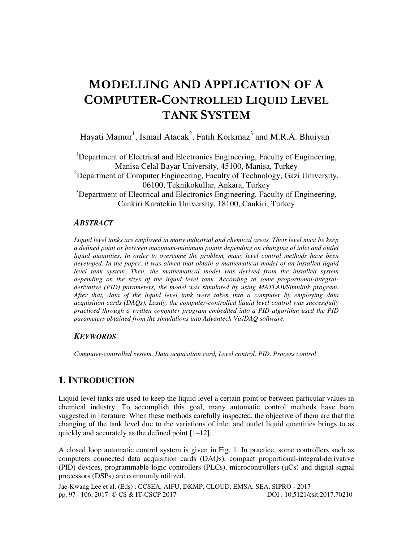# MODELLING AND APPLICATION OF A COMPUTER-CONTROLLED LIQUID LEVEL TANK SYSTEM

Hayati Mamur<sup>1</sup>, Ismail Atacak<sup>2</sup>, Fatih Korkmaz<sup>3</sup> and M.R.A. Bhuiyan<sup>1</sup>

<sup>1</sup>Department of Electrical and Electronics Engineering, Faculty of Engineering, Manisa Celal Bayar University, 45100, Manisa, Turkey  $2D$  Department of Computer Engineering, Faculty of Technology, Gazi University, 06100, Teknikokullar, Ankara, Turkey  $3$ Department of Electrical and Electronics Engineering, Faculty of Engineering,

Cankiri Karatekin University, 18100, Cankiri, Turkey

#### *ABSTRACT*

*Liquid level tanks are employed in many industrial and chemical areas. Their level must be keep a defined point or between maximum-minimum points depending on changing of inlet and outlet liquid quantities. In order to overcome the problem, many level control methods have been developed. In the paper, it was aimed that obtain a mathematical model of an installed liquid level tank system. Then, the mathematical model was derived from the installed system depending on the sizes of the liquid level tank. According to some proportional-integralderivative (PID) parameters, the model was simulated by using MATLAB/Simulink program. After that, data of the liquid level tank were taken into a computer by employing data acquisition cards (DAQs). Lastly, the computer-controlled liquid level control was successfully practiced through a written computer program embedded into a PID algorithm used the PID parameters obtained from the simulations into Advantech VisiDAQ software.* 

#### *KEYWORDS*

*Computer-controlled system, Data acquisition card, Level control, PID, Process control* 

# **1. INTRODUCTION**

Liquid level tanks are used to keep the liquid level a certain point or between particular values in chemical industry. To accomplish this goal, many automatic control methods have been suggested in literature. When these methods carefully inspected, the objective of them are that the changing of the tank level due to the variations of inlet and outlet liquid quantities brings to as quickly and accurately as the defined point [1–12].

A closed loop automatic control system is given in Fig. 1. In practice, some controllers such as computers connected data acquisition cards (DAQs), compact proportional-integral-derivative  $(PID)$  devices, programmable logic controllers  $(PLCs)$ , microcontrollers  $(µCs)$  and digital signal processors (DSPs) are commonly utilized.

Jae-Kwang Lee et al. (Eds) : CCSEA, AIFU, DKMP, CLOUD, EMSA, SEA, SIPRO - 2017 pp. 97– 106, 2017. © CS & IT-CSCP 2017 DOI : 10.5121/csit.2017.70210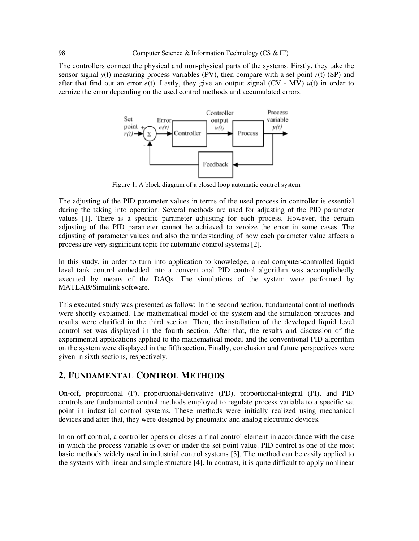The controllers connect the physical and non-physical parts of the systems. Firstly, they take the sensor signal  $y(t)$  measuring process variables (PV), then compare with a set point  $r(t)$  (SP) and after that find out an error  $e(t)$ . Lastly, they give an output signal (CV - MV)  $u(t)$  in order to zeroize the error depending on the used control methods and accumulated errors.



Figure 1. A block diagram of a closed loop automatic control system

The adjusting of the PID parameter values in terms of the used process in controller is essential during the taking into operation. Several methods are used for adjusting of the PID parameter values [1]. There is a specific parameter adjusting for each process. However, the certain adjusting of the PID parameter cannot be achieved to zeroize the error in some cases. The adjusting of parameter values and also the understanding of how each parameter value affects a process are very significant topic for automatic control systems [2].

In this study, in order to turn into application to knowledge, a real computer-controlled liquid level tank control embedded into a conventional PID control algorithm was accomplishedly executed by means of the DAQs. The simulations of the system were performed by MATLAB/Simulink software.

This executed study was presented as follow: In the second section, fundamental control methods were shortly explained. The mathematical model of the system and the simulation practices and results were clarified in the third section. Then, the installation of the developed liquid level control set was displayed in the fourth section. After that, the results and discussion of the experimental applications applied to the mathematical model and the conventional PID algorithm on the system were displayed in the fifth section. Finally, conclusion and future perspectives were given in sixth sections, respectively.

### **2. FUNDAMENTAL CONTROL METHODS**

On-off, proportional (P), proportional-derivative (PD), proportional-integral (PI), and PID controls are fundamental control methods employed to regulate process variable to a specific set point in industrial control systems. These methods were initially realized using mechanical devices and after that, they were designed by pneumatic and analog electronic devices.

In on-off control, a controller opens or closes a final control element in accordance with the case in which the process variable is over or under the set point value. PID control is one of the most basic methods widely used in industrial control systems [3]. The method can be easily applied to the systems with linear and simple structure [4]. In contrast, it is quite difficult to apply nonlinear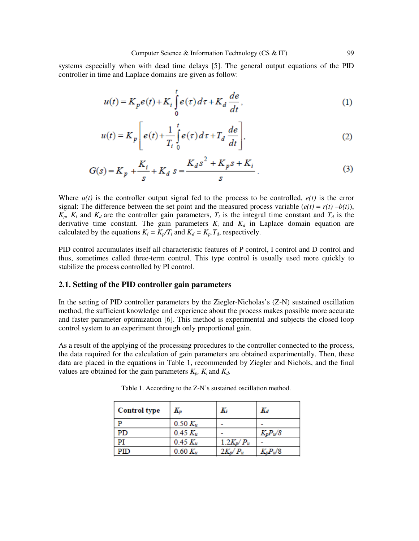systems especially when with dead time delays [5]. The general output equations of the PID controller in time and Laplace domains are given as follow:

$$
u(t) = K_p e(t) + K_i \int_0^t e(\tau) d\tau + K_d \frac{de}{dt},
$$
\n(1)

$$
u(t) = K_p \left[ e(t) + \frac{1}{T_i} \int_0^t e(\tau) d\tau + T_d \frac{de}{dt} \right],
$$
 (2)

$$
G(s) = K_p + \frac{K_i}{s} + K_d \ s = \frac{K_d s^2 + K_p s + K_i}{s} \ . \tag{3}
$$

Where  $u(t)$  is the controller output signal fed to the process to be controlled,  $e(t)$  is the error signal: The difference between the set point and the measured process variable  $(e(t) = r(t) - b(t))$ ,  $K_p$ ,  $K_i$  and  $K_d$  are the controller gain parameters,  $T_i$  is the integral time constant and  $T_d$  is the derivative time constant. The gain parameters  $K_i$  and  $K_d$  in Laplace domain equation are calculated by the equations  $K_i = K_p / T_i$  and  $K_d = K_p$ , *T<sub>d</sub>*, respectively.

PID control accumulates itself all characteristic features of P control, I control and D control and thus, sometimes called three-term control. This type control is usually used more quickly to stabilize the process controlled by PI control.

#### **2.1. Setting of the PID controller gain parameters**

In the setting of PID controller parameters by the Ziegler-Nicholas's (Z-N) sustained oscillation method, the sufficient knowledge and experience about the process makes possible more accurate and faster parameter optimization [6]. This method is experimental and subjects the closed loop control system to an experiment through only proportional gain.

As a result of the applying of the processing procedures to the controller connected to the process, the data required for the calculation of gain parameters are obtained experimentally. Then, these data are placed in the equations in Table 1, recommended by Ziegler and Nichols, and the final values are obtained for the gain parameters  $K_p$ ,  $K_i$  and  $K_d$ .

| <b>Control type</b> | $K_p$        | Κi                   | $K_d$       |
|---------------------|--------------|----------------------|-------------|
|                     | $0.50 K_u$   |                      |             |
| PD                  | $0.45 K_u$   |                      | $K_p P_u/8$ |
|                     | $0.45 K_u$   | $1.2K_p/P_u$         |             |
| PШ                  | $0.60 K_{u}$ | $2K_{\nu}$<br>$'P_u$ | $K_pP_w/8$  |

Table 1. According to the Z-N's sustained oscillation method.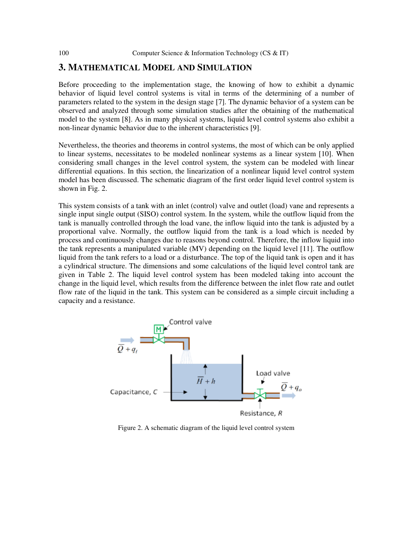## **3. MATHEMATICAL MODEL AND SIMULATION**

Before proceeding to the implementation stage, the knowing of how to exhibit a dynamic behavior of liquid level control systems is vital in terms of the determining of a number of parameters related to the system in the design stage [7]. The dynamic behavior of a system can be observed and analyzed through some simulation studies after the obtaining of the mathematical model to the system [8]. As in many physical systems, liquid level control systems also exhibit a non-linear dynamic behavior due to the inherent characteristics [9].

Nevertheless, the theories and theorems in control systems, the most of which can be only applied to linear systems, necessitates to be modeled nonlinear systems as a linear system [10]. When considering small changes in the level control system, the system can be modeled with linear differential equations. In this section, the linearization of a nonlinear liquid level control system model has been discussed. The schematic diagram of the first order liquid level control system is shown in Fig. 2.

This system consists of a tank with an inlet (control) valve and outlet (load) vane and represents a single input single output (SISO) control system. In the system, while the outflow liquid from the tank is manually controlled through the load vane, the inflow liquid into the tank is adjusted by a proportional valve. Normally, the outflow liquid from the tank is a load which is needed by process and continuously changes due to reasons beyond control. Therefore, the inflow liquid into the tank represents a manipulated variable (MV) depending on the liquid level [11]. The outflow liquid from the tank refers to a load or a disturbance. The top of the liquid tank is open and it has a cylindrical structure. The dimensions and some calculations of the liquid level control tank are given in Table 2. The liquid level control system has been modeled taking into account the change in the liquid level, which results from the difference between the inlet flow rate and outlet flow rate of the liquid in the tank. This system can be considered as a simple circuit including a capacity and a resistance.



Figure 2. A schematic diagram of the liquid level control system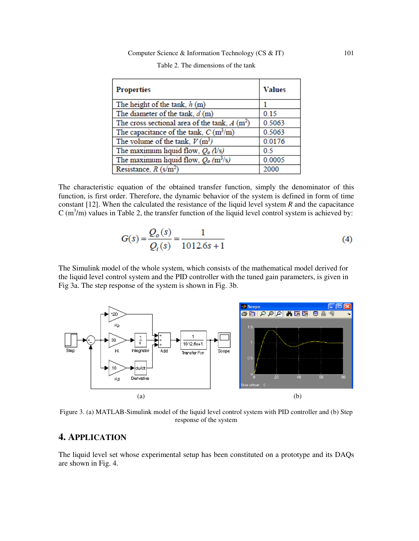| <b>Properties</b>                                  | <b>Values</b> |  |
|----------------------------------------------------|---------------|--|
| The height of the tank, $h(m)$                     |               |  |
| The diameter of the tank, $d(m)$                   | 0.15          |  |
| The cross sectional area of the tank, $A(m^2)$     | 0.5063        |  |
| The capacitance of the tank, $C(m^3/m)$            | 0.5063        |  |
| The volume of the tank, $V(m^3)$                   | 0.0176        |  |
| The maximum liquid flow, $Q_0$ (l/s)               | 0.5           |  |
| The maximum liquid flow, $Q_0$ (m <sup>3</sup> /s) | 0.0005        |  |
| Resistance, $R \text{ (s/m}^2)$                    | 2000          |  |

| Table 2. The dimensions of the tank |  |  |  |  |
|-------------------------------------|--|--|--|--|
|-------------------------------------|--|--|--|--|

The characteristic equation of the obtained transfer function, simply the denominator of this function, is first order. Therefore, the dynamic behavior of the system is defined in form of time constant [12]. When the calculated the resistance of the liquid level system *R* and the capacitance  $C$  (m<sup>3</sup>/m) values in Table 2, the transfer function of the liquid level control system is achieved by:

$$
G(s) = \frac{Q_o(s)}{Q_i(s)} = \frac{1}{1012.6s + 1}
$$
\n(4)

The Simulink model of the whole system, which consists of the mathematical model derived for the liquid level control system and the PID controller with the tuned gain parameters, is given in Fig 3a. The step response of the system is shown in Fig. 3b.



Figure 3. (a) MATLAB-Simulink model of the liquid level control system with PID controller and (b) Step response of the system

# **4. APPLICATION**

The liquid level set whose experimental setup has been constituted on a prototype and its DAQs are shown in Fig. 4.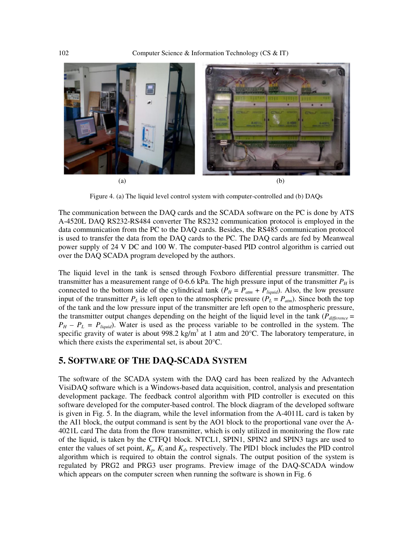

Figure 4. (a) The liquid level control system with computer-controlled and (b) DAQs

The communication between the DAQ cards and the SCADA software on the PC is done by ATS A-4520L DAQ RS232-RS484 converter The RS232 communication protocol is employed in the data communication from the PC to the DAQ cards. Besides, the RS485 communication protocol is used to transfer the data from the DAQ cards to the PC. The DAQ cards are fed by Meanweal power supply of 24 V DC and 100 W. The computer-based PID control algorithm is carried out over the DAQ SCADA program developed by the authors.

The liquid level in the tank is sensed through Foxboro differential pressure transmitter. The transmitter has a measurement range of 0-6.6 kPa. The high pressure input of the transmitter  $P_H$  is connected to the bottom side of the cylindrical tank ( $P_H = P_{atm} + P_{liquid}$ ). Also, the low pressure input of the transmitter  $P_L$  is left open to the atmospheric pressure  $(P_L = P_{atm})$ . Since both the top of the tank and the low pressure input of the transmitter are left open to the atmospheric pressure, the transmitter output changes depending on the height of the liquid level in the tank (*Pdifference* =  $P_H - P_L = P_{liquid}$ ). Water is used as the process variable to be controlled in the system. The specific gravity of water is about 998.2 kg/m<sup>3</sup> at 1 atm and 20 $^{\circ}$ C. The laboratory temperature, in which there exists the experimental set, is about 20°C.

# **5. SOFTWARE OF THE DAQ-SCADA SYSTEM**

The software of the SCADA system with the DAQ card has been realized by the Advantech VisiDAQ software which is a Windows-based data acquisition, control, analysis and presentation development package. The feedback control algorithm with PID controller is executed on this software developed for the computer-based control. The block diagram of the developed software is given in Fig. 5. In the diagram, while the level information from the A-4011L card is taken by the AI1 block, the output command is sent by the AO1 block to the proportional vane over the A-4021L card The data from the flow transmitter, which is only utilized in monitoring the flow rate of the liquid, is taken by the CTFQ1 block. NTCL1, SPIN1, SPIN2 and SPIN3 tags are used to enter the values of set point,  $K_p$ ,  $K_i$  and  $K_d$ , respectively. The PID1 block includes the PID control algorithm which is required to obtain the control signals. The output position of the system is regulated by PRG2 and PRG3 user programs. Preview image of the DAQ-SCADA window which appears on the computer screen when running the software is shown in Fig. 6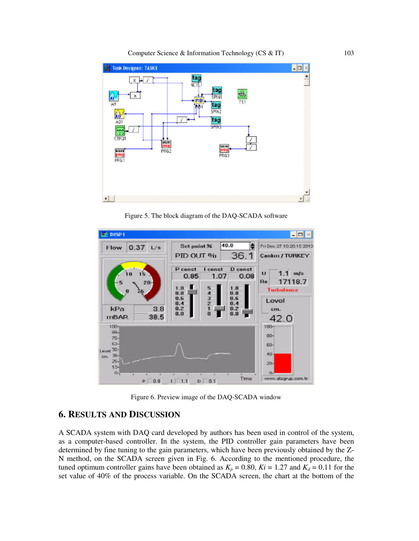

Figure 5. The block diagram of the DAQ-SCADA software



Figure 6. Preview image of the DAQ-SCADA window

# **6. RESULTS AND DISCUSSION**

A SCADA system with DAQ card developed by authors has been used in control of the system, as a computer-based controller. In the system, the PID controller gain parameters have been determined by fine tuning to the gain parameters, which have been previously obtained by the Z-N method, on the SCADA screen given in Fig. 6. According to the mentioned procedure, the tuned optimum controller gains have been obtained as  $K_p = 0.80$ ,  $Ki = 1.27$  and  $K_d = 0.11$  for the set value of 40% of the process variable. On the SCADA screen, the chart at the bottom of the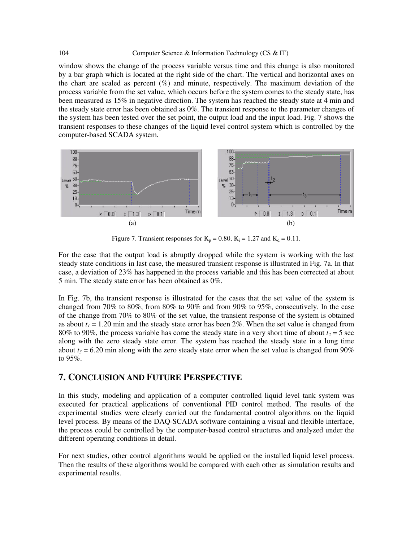#### 104 Computer Science & Information Technology (CS & IT)

window shows the change of the process variable versus time and this change is also monitored by a bar graph which is located at the right side of the chart. The vertical and horizontal axes on the chart are scaled as percent  $(\%)$  and minute, respectively. The maximum deviation of the process variable from the set value, which occurs before the system comes to the steady state, has been measured as 15% in negative direction. The system has reached the steady state at 4 min and the steady state error has been obtained as 0%. The transient response to the parameter changes of the system has been tested over the set point, the output load and the input load. Fig. 7 shows the transient responses to these changes of the liquid level control system which is controlled by the computer-based SCADA system.



Figure 7. Transient responses for  $K_p = 0.80$ ,  $K_i = 1.27$  and  $K_d = 0.11$ .

For the case that the output load is abruptly dropped while the system is working with the last steady state conditions in last case, the measured transient response is illustrated in Fig. 7a. In that case, a deviation of 23% has happened in the process variable and this has been corrected at about 5 min. The steady state error has been obtained as 0%.

In Fig. 7b, the transient response is illustrated for the cases that the set value of the system is changed from 70% to 80%, from 80% to 90% and from 90% to 95%, consecutively. In the case of the change from 70% to 80% of the set value, the transient response of the system is obtained as about  $t_1 = 1.20$  min and the steady state error has been 2%. When the set value is changed from 80% to 90%, the process variable has come the steady state in a very short time of about  $t_2 = 5$  sec along with the zero steady state error. The system has reached the steady state in a long time about  $t_3$  = 6.20 min along with the zero steady state error when the set value is changed from 90% to 95%.

# **7. CONCLUSION AND FUTURE PERSPECTIVE**

In this study, modeling and application of a computer controlled liquid level tank system was executed for practical applications of conventional PID control method. The results of the experimental studies were clearly carried out the fundamental control algorithms on the liquid level process. By means of the DAQ-SCADA software containing a visual and flexible interface, the process could be controlled by the computer-based control structures and analyzed under the different operating conditions in detail.

For next studies, other control algorithms would be applied on the installed liquid level process. Then the results of these algorithms would be compared with each other as simulation results and experimental results.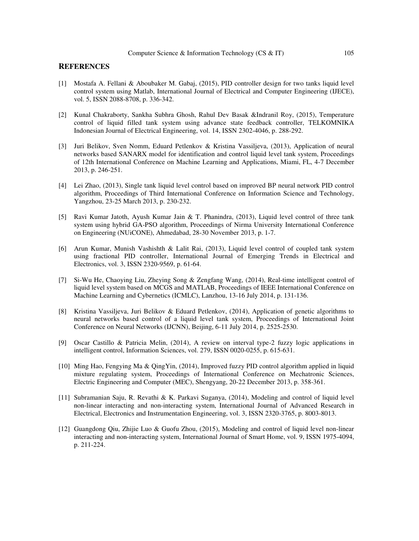#### **REFERENCES**

- [1] Mostafa A. Fellani & Aboubaker M. Gabaj, (2015), PID controller design for two tanks liquid level control system using Matlab, International Journal of Electrical and Computer Engineering (IJECE), vol. 5, ISSN 2088-8708, p. 336-342.
- [2] Kunal Chakraborty, Sankha Subhra Ghosh, Rahul Dev Basak &Indranil Roy, (2015), Temperature control of liquid filled tank system using advance state feedback controller, TELKOMNIKA Indonesian Journal of Electrical Engineering, vol. 14, ISSN 2302-4046, p. 288-292.
- [3] Juri Belikov, Sven Nomm, Eduard Petlenkov & Kristina Vassiljeva, (2013), Application of neural networks based SANARX model for identification and control liquid level tank system, Proceedings of 12th International Conference on Machine Learning and Applications, Miami, FL, 4-7 December 2013, p. 246-251.
- [4] Lei Zhao, (2013), Single tank liquid level control based on improved BP neural network PID control algorithm, Proceedings of Third International Conference on Information Science and Technology, Yangzhou, 23-25 March 2013, p. 230-232.
- [5] Ravi Kumar Jatoth, Ayush Kumar Jain & T. Phanindra, (2013), Liquid level control of three tank system using hybrid GA-PSO algorithm, Proceedings of Nirma University International Conference on Engineering (NUiCONE), Ahmedabad, 28-30 November 2013, p. 1-7.
- [6] Arun Kumar, Munish Vashishth & Lalit Rai, (2013), Liquid level control of coupled tank system using fractional PID controller, International Journal of Emerging Trends in Electrical and Electronics, vol. 3, ISSN 2320-9569, p. 61-64.
- [7] Si-Wu He, Chaoying Liu, Zheying Song & Zengfang Wang, (2014), Real-time intelligent control of liquid level system based on MCGS and MATLAB, Proceedings of IEEE International Conference on Machine Learning and Cybernetics (ICMLC), Lanzhou, 13-16 July 2014, p. 131-136.
- [8] Kristina Vassiljeva, Juri Belikov & Eduard Petlenkov, (2014), Application of genetic algorithms to neural networks based control of a liquid level tank system, Proceedings of International Joint Conference on Neural Networks (IJCNN), Beijing, 6-11 July 2014, p. 2525-2530.
- [9] Oscar Castillo & Patricia Melin, (2014), A review on interval type-2 fuzzy logic applications in intelligent control, Information Sciences, vol. 279, ISSN 0020-0255, p. 615-631.
- [10] Ming Hao, Fengying Ma & QingYin, (2014), Improved fuzzy PID control algorithm applied in liquid mixture regulating system, Proceedings of International Conference on Mechatronic Sciences, Electric Engineering and Computer (MEC), Shengyang, 20-22 December 2013, p. 358-361.
- [11] Subramanian Saju, R. Revathi & K. Parkavi Suganya, (2014), Modeling and control of liquid level non-linear interacting and non-interacting system, International Journal of Advanced Research in Electrical, Electronics and Instrumentation Engineering, vol. 3, ISSN 2320-3765, p. 8003-8013.
- [12] Guangdong Qiu, Zhijie Luo & Guofu Zhou, (2015), Modeling and control of liquid level non-linear interacting and non-interacting system, International Journal of Smart Home, vol. 9, ISSN 1975-4094, p. 211-224.